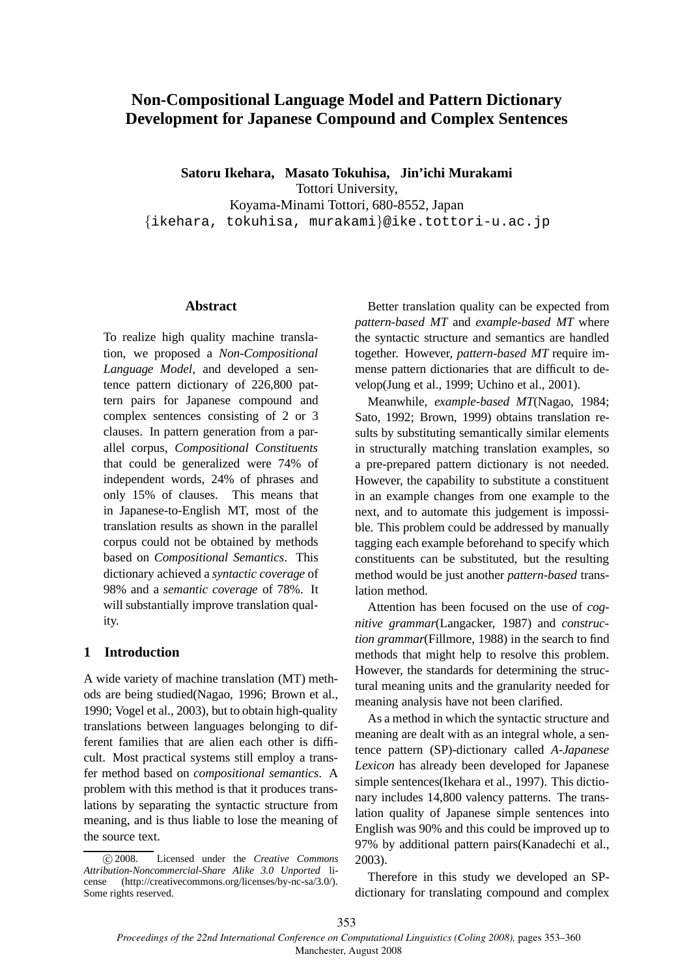# **Non-Compositional Language Model and Pattern Dictionary Development for Japanese Compound and Complex Sentences**

**Satoru Ikehara, Masato Tokuhisa, Jin'ichi Murakami** Tottori University, Koyama-Minami Tottori, 680-8552, Japan {ikehara, tokuhisa, murakami}@ike.tottori-u.ac.jp

#### **Abstract**

To realize high quality machine translation, we proposed a *Non-Compositional Language Model*, and developed a sentence pattern dictionary of 226,800 pattern pairs for Japanese compound and complex sentences consisting of 2 or 3 clauses. In pattern generation from a parallel corpus, *Compositional Constituents* that could be generalized were 74% of independent words, 24% of phrases and only 15% of clauses. This means that in Japanese-to-English MT, most of the translation results as shown in the parallel corpus could not be obtained by methods based on *Compositional Semantics*. This dictionary achieved a *syntactic coverage* of 98% and a *semantic coverage* of 78%. It will substantially improve translation quality.

# **1 Introduction**

A wide variety of machine translation (MT) methods are being studied(Nagao, 1996; Brown et al., 1990; Vogel et al., 2003), but to obtain high-quality translations between languages belonging to different families that are alien each other is difficult. Most practical systems still employ a transfer method based on *compositional semantics*. A problem with this method is that it produces translations by separating the syntactic structure from meaning, and is thus liable to lose the meaning of the source text.

Better translation quality can be expected from *pattern-based MT* and *example-based MT* where the syntactic structure and semantics are handled together. However, *pattern-based MT* require immense pattern dictionaries that are difficult to develop(Jung et al., 1999; Uchino et al., 2001).

Meanwhile, *example-based MT*(Nagao, 1984; Sato, 1992; Brown, 1999) obtains translation results by substituting semantically similar elements in structurally matching translation examples, so a pre-prepared pattern dictionary is not needed. However, the capability to substitute a constituent in an example changes from one example to the next, and to automate this judgement is impossible. This problem could be addressed by manually tagging each example beforehand to specify which constituents can be substituted, but the resulting method would be just another *pattern-based* translation method.

Attention has been focused on the use of *cognitive grammar*(Langacker, 1987) and *construction grammar*(Fillmore, 1988) in the search to find methods that might help to resolve this problem. However, the standards for determining the structural meaning units and the granularity needed for meaning analysis have not been clarified.

As a method in which the syntactic structure and meaning are dealt with as an integral whole, a sentence pattern (SP)-dictionary called *A-Japanese Lexicon* has already been developed for Japanese simple sentences(Ikehara et al., 1997). This dictionary includes 14,800 valency patterns. The translation quality of Japanese simple sentences into English was 90% and this could be improved up to 97% by additional pattern pairs(Kanadechi et al., 2003).

Therefore in this study we developed an SPdictionary for translating compound and complex

c 2008. Licensed under the *Creative Commons Attribution-Noncommercial-Share Alike 3.0 Unported* license (http://creativecommons.org/licenses/by-nc-sa/3.0/). Some rights reserved.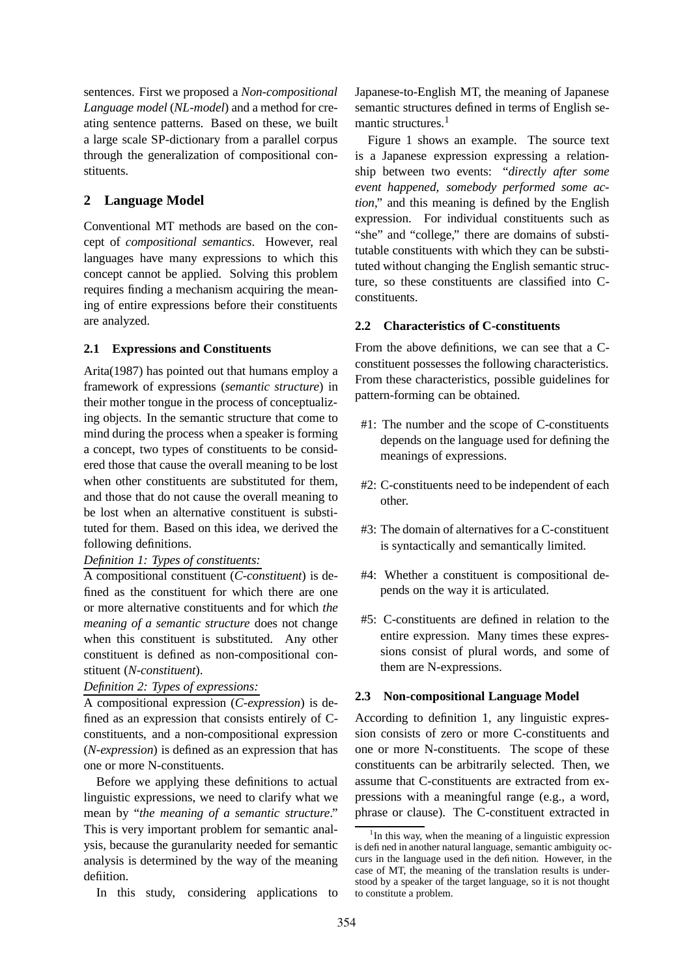sentences. First we proposed a *Non-compositional Language model* (*NL-model*) and a method for creating sentence patterns. Based on these, we built a large scale SP-dictionary from a parallel corpus through the generalization of compositional constituents.

# **2 Language Model**

Conventional MT methods are based on the concept of *compositional semantics*. However, real languages have many expressions to which this concept cannot be applied. Solving this problem requires finding a mechanism acquiring the meaning of entire expressions before their constituents are analyzed.

# **2.1 Expressions and Constituents**

Arita(1987) has pointed out that humans employ a framework of expressions (*semantic structure*) in their mother tongue in the process of conceptualizing objects. In the semantic structure that come to mind during the process when a speaker is forming a concept, two types of constituents to be considered those that cause the overall meaning to be lost when other constituents are substituted for them, and those that do not cause the overall meaning to be lost when an alternative constituent is substituted for them. Based on this idea, we derived the following definitions.

# *Definition 1: Types of constituents:*

A compositional constituent (*C-constituent*) is defined as the constituent for which there are one or more alternative constituents and for which *the meaning of a semantic structure* does not change when this constituent is substituted. Any other constituent is defined as non-compositional constituent (*N-constituent*).

# *Definition 2: Types of expressions:*

A compositional expression (*C-expression*) is defined as an expression that consists entirely of Cconstituents, and a non-compositional expression (*N-expression*) is defined as an expression that has one or more N-constituents.

Before we applying these definitions to actual linguistic expressions, we need to clarify what we mean by "*the meaning of a semantic structure*." This is very important problem for semantic analysis, because the guranularity needed for semantic analysis is determined by the way of the meaning defiition.

In this study, considering applications to

Japanese-to-English MT, the meaning of Japanese semantic structures defined in terms of English semantic structures.<sup>1</sup>

Figure 1 shows an example. The source text is a Japanese expression expressing a relationship between two events: "*directly after some event happened, somebody performed some action*," and this meaning is defined by the English expression. For individual constituents such as "she" and "college," there are domains of substitutable constituents with which they can be substituted without changing the English semantic structure, so these constituents are classified into Cconstituents.

# **2.2 Characteristics of C-constituents**

From the above definitions, we can see that a Cconstituent possesses the following characteristics. From these characteristics, possible guidelines for pattern-forming can be obtained.

- #1: The number and the scope of C-constituents depends on the language used for defining the meanings of expressions.
- #2: C-constituents need to be independent of each other.
- #3: The domain of alternatives for a C-constituent is syntactically and semantically limited.
- #4: Whether a constituent is compositional depends on the way it is articulated.
- #5: C-constituents are defined in relation to the entire expression. Many times these expressions consist of plural words, and some of them are N-expressions.

# **2.3 Non-compositional Language Model**

According to definition 1, any linguistic expression consists of zero or more C-constituents and one or more N-constituents. The scope of these constituents can be arbitrarily selected. Then, we assume that C-constituents are extracted from expressions with a meaningful range (e.g., a word, phrase or clause). The C-constituent extracted in

<sup>&</sup>lt;sup>1</sup>In this way, when the meaning of a linguistic expression is defined in another natural language, semantic ambiguity occurs in the language used in the definition. However, in the case of MT, the meaning of the translation results is understood by a speaker of the target language, so it is not thought to constitute a problem.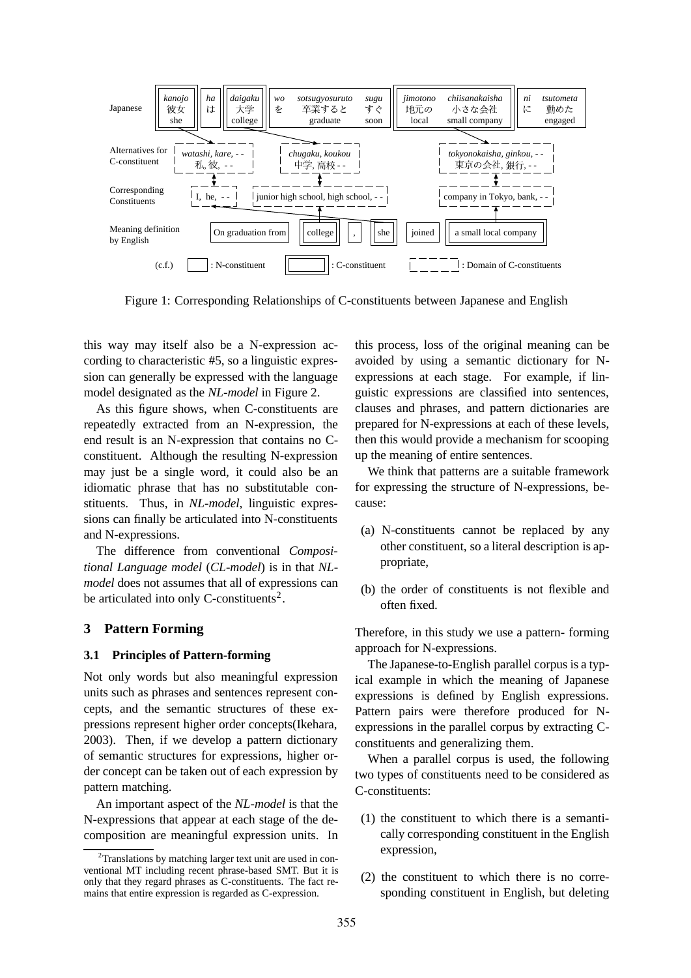

Figure 1: Corresponding Relationships of C-constituents between Japanese and English

this way may itself also be a N-expression according to characteristic #5, so a linguistic expression can generally be expressed with the language model designated as the *NL-model* in Figure 2.

As this figure shows, when C-constituents are repeatedly extracted from an N-expression, the end result is an N-expression that contains no Cconstituent. Although the resulting N-expression may just be a single word, it could also be an idiomatic phrase that has no substitutable constituents. Thus, in *NL-model*, linguistic expressions can finally be articulated into N-constituents and N-expressions.

The difference from conventional *Compositional Language model* (*CL-model*) is in that *NLmodel* does not assumes that all of expressions can be articulated into only C-constituents<sup>2</sup>.

### **3 Pattern Forming**

### **3.1 Principles of Pattern-forming**

Not only words but also meaningful expression units such as phrases and sentences represent concepts, and the semantic structures of these expressions represent higher order concepts(Ikehara, 2003). Then, if we develop a pattern dictionary of semantic structures for expressions, higher order concept can be taken out of each expression by pattern matching.

An important aspect of the *NL-model* is that the N-expressions that appear at each stage of the decomposition are meaningful expression units. In this process, loss of the original meaning can be avoided by using a semantic dictionary for Nexpressions at each stage. For example, if linguistic expressions are classified into sentences, clauses and phrases, and pattern dictionaries are prepared for N-expressions at each of these levels, then this would provide a mechanism for scooping up the meaning of entire sentences.

We think that patterns are a suitable framework for expressing the structure of N-expressions, because:

- (a) N-constituents cannot be replaced by any other constituent, so a literal description is appropriate,
- (b) the order of constituents is not flexible and often fixed.

Therefore, in this study we use a pattern- forming approach for N-expressions.

The Japanese-to-English parallel corpus is a typical example in which the meaning of Japanese expressions is defined by English expressions. Pattern pairs were therefore produced for Nexpressions in the parallel corpus by extracting Cconstituents and generalizing them.

When a parallel corpus is used, the following two types of constituents need to be considered as C-constituents:

- (1) the constituent to which there is a semantically corresponding constituent in the English expression,
- (2) the constituent to which there is no corresponding constituent in English, but deleting

 $2$ Translations by matching larger text unit are used in conventional MT including recent phrase-based SMT. But it is only that they regard phrases as C-constituents. The fact remains that entire expression is regarded as C-expression.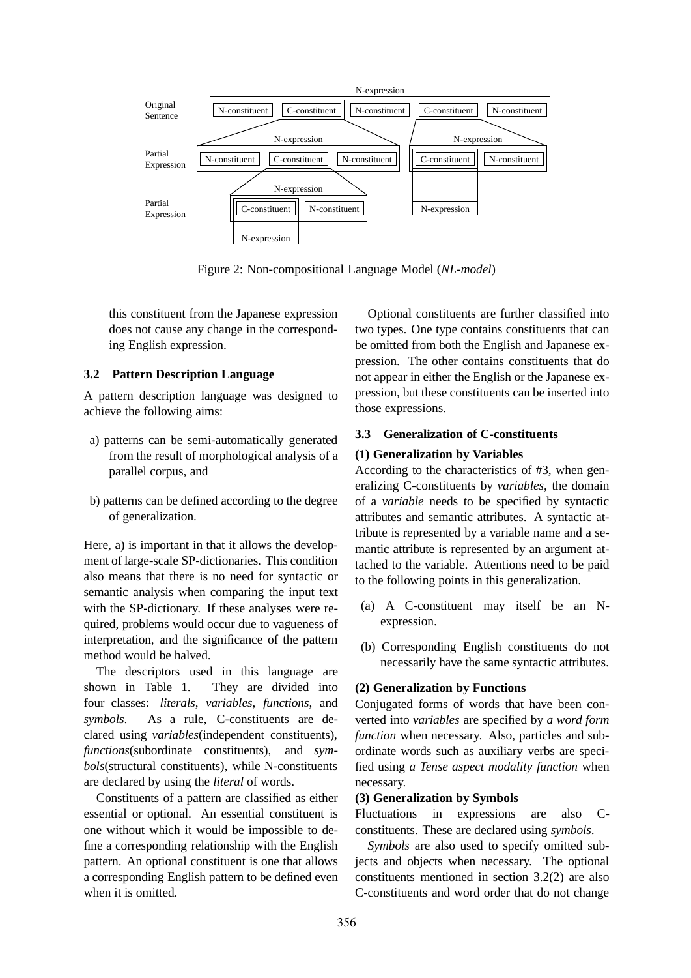

Figure 2: Non-compositional Language Model (*NL-model*)

this constituent from the Japanese expression does not cause any change in the corresponding English expression.

### **3.2 Pattern Description Language**

A pattern description language was designed to achieve the following aims:

- a) patterns can be semi-automatically generated from the result of morphological analysis of a parallel corpus, and
- b) patterns can be defined according to the degree of generalization.

Here, a) is important in that it allows the development of large-scale SP-dictionaries. This condition also means that there is no need for syntactic or semantic analysis when comparing the input text with the SP-dictionary. If these analyses were required, problems would occur due to vagueness of interpretation, and the significance of the pattern method would be halved.

The descriptors used in this language are shown in Table 1. They are divided into four classes: *literals*, *variables*, *functions*, and *symbols*. As a rule, C-constituents are declared using *variables*(independent constituents), *functions*(subordinate constituents), and *symbols*(structural constituents), while N-constituents are declared by using the *literal* of words.

Constituents of a pattern are classified as either essential or optional. An essential constituent is one without which it would be impossible to define a corresponding relationship with the English pattern. An optional constituent is one that allows a corresponding English pattern to be defined even when it is omitted.

Optional constituents are further classified into two types. One type contains constituents that can be omitted from both the English and Japanese expression. The other contains constituents that do not appear in either the English or the Japanese expression, but these constituents can be inserted into those expressions.

### **3.3 Generalization of C-constituents**

### **(1) Generalization by Variables**

According to the characteristics of #3, when generalizing C-constituents by *variables*, the domain of a *variable* needs to be specified by syntactic attributes and semantic attributes. A syntactic attribute is represented by a variable name and a semantic attribute is represented by an argument attached to the variable. Attentions need to be paid to the following points in this generalization.

- (a) A C-constituent may itself be an Nexpression.
- (b) Corresponding English constituents do not necessarily have the same syntactic attributes.

### **(2) Generalization by Functions**

Conjugated forms of words that have been converted into *variables* are specified by *a word form function* when necessary. Also, particles and subordinate words such as auxiliary verbs are specified using *a Tense aspect modality function* when necessary.

#### **(3) Generalization by Symbols**

Fluctuations in expressions are also Cconstituents. These are declared using *symbols*.

*Symbols* are also used to specify omitted subjects and objects when necessary. The optional constituents mentioned in section 3.2(2) are also C-constituents and word order that do not change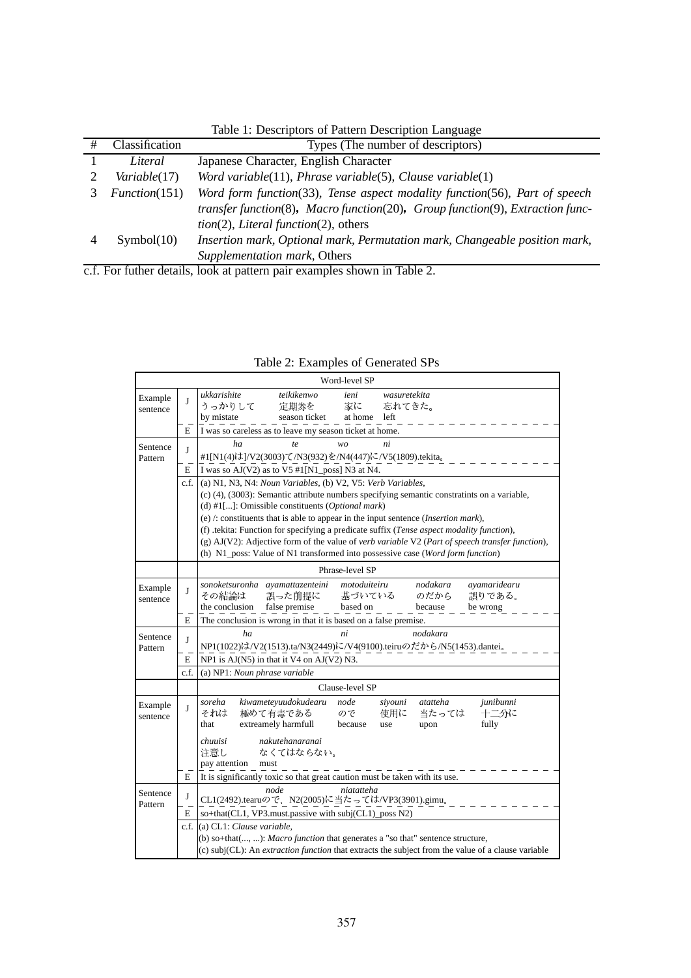| # | Classification | Types (The number of descriptors)                                             |  |  |  |
|---|----------------|-------------------------------------------------------------------------------|--|--|--|
|   | Literal        | Japanese Character, English Character                                         |  |  |  |
|   | Variable(17)   | Word variable(11), Phrase variable(5), Clause variable(1)                     |  |  |  |
|   | Function(151)  | Word form function(33), Tense aspect modality function(56), Part of speech    |  |  |  |
|   |                | transfer function(8), Macro function(20), Group function(9), Extraction func- |  |  |  |
|   |                | $tion(2)$ , <i>Literal function</i> $(2)$ , others                            |  |  |  |
|   | Symbol(10)     | Insertion mark, Optional mark, Permutation mark, Changeable position mark,    |  |  |  |
|   |                | Supplementation mark, Others                                                  |  |  |  |

Table 1: Descriptors of Pattern Description Language

c.f. For futher details, look at pattern pair examples shown in Table 2.

| Word-level SP       |                |                                                                                                                                                                                                                                                                                                                                                                                                                                                                                                                                                                                                                |  |  |  |  |  |  |  |
|---------------------|----------------|----------------------------------------------------------------------------------------------------------------------------------------------------------------------------------------------------------------------------------------------------------------------------------------------------------------------------------------------------------------------------------------------------------------------------------------------------------------------------------------------------------------------------------------------------------------------------------------------------------------|--|--|--|--|--|--|--|
| Example<br>sentence | J              | teikikenwo<br>ukkarishite<br>ieni<br>wasuretekita<br>うっかりして<br>定期券を<br>家に<br>忘れてきた。<br>by mistate<br>season ticket<br>at home<br>left                                                                                                                                                                                                                                                                                                                                                                                                                                                                          |  |  |  |  |  |  |  |
|                     | E              | I was so careless as to leave my season ticket at home.                                                                                                                                                                                                                                                                                                                                                                                                                                                                                                                                                        |  |  |  |  |  |  |  |
| Sentence<br>Pattern | J              | ha<br>te<br>ni<br>wo<br>#1[N1(4)は]/V2(3003)て/N3(932)を/N4(447)に/V5(1809).tekita。                                                                                                                                                                                                                                                                                                                                                                                                                                                                                                                                |  |  |  |  |  |  |  |
|                     | $\mathbf E$    | I was so AJ(V2) as to V5 #1[N1_poss] N3 at N4.                                                                                                                                                                                                                                                                                                                                                                                                                                                                                                                                                                 |  |  |  |  |  |  |  |
|                     | c.f.           | (a) N1, N3, N4: Noun Variables, (b) V2, V5: Verb Variables,<br>(c) (4), (3003): Semantic attribute numbers specifying semantic constratints on a variable,<br>(d) #1[]: Omissible constituents (Optional mark)<br>(e) $\ell$ : constituents that is able to appear in the input sentence ( <i>Insertion mark</i> ),<br>(f) .tekita: Function for specifying a predicate suffix ( <i>Tense aspect modality function</i> ),<br>(g) AJ(V2): Adjective form of the value of verb variable V2 (Part of speech transfer function),<br>(h) N1_poss: Value of N1 transformed into possessive case (Word form function) |  |  |  |  |  |  |  |
|                     |                | Phrase-level SP                                                                                                                                                                                                                                                                                                                                                                                                                                                                                                                                                                                                |  |  |  |  |  |  |  |
| Example<br>sentence | J              | sonoketsuronha ayamattazenteini<br>motoduiteiru<br>nodakara<br>avamaridearu<br>その結論は<br>基づいている<br>のだから<br>誤りである。<br>誤った前提に<br>the conclusion<br>false premise<br>based on<br>because<br>be wrong                                                                                                                                                                                                                                                                                                                                                                                                               |  |  |  |  |  |  |  |
|                     | E              | The conclusion is wrong in that it is based on a false premise.                                                                                                                                                                                                                                                                                                                                                                                                                                                                                                                                                |  |  |  |  |  |  |  |
| Sentence<br>Pattern | J<br>Е<br>c.f. | ha<br>ni<br>nodakara<br>NP1(1022)は/V2(1513).ta/N3(2449)に/V4(9100).teiruのだから/N5(1453).dantei。<br>NP1 is AJ(N5) in that it V4 on AJ(V2) N3.<br>(a) NP1: Noun phrase variable                                                                                                                                                                                                                                                                                                                                                                                                                                     |  |  |  |  |  |  |  |
| Clause-level SP     |                |                                                                                                                                                                                                                                                                                                                                                                                                                                                                                                                                                                                                                |  |  |  |  |  |  |  |
| Example<br>sentence | J              | soreha<br>kiwameteyuudokudearu<br>node<br>atatteha<br>junibunni<br>siyouni<br>極めて有毒である<br>使用に<br>当たっては<br>十二分に<br>それは<br>ので<br>extreamely harmfull<br>fully<br>that<br>because<br>upon<br>use                                                                                                                                                                                                                                                                                                                                                                                                                  |  |  |  |  |  |  |  |
|                     |                | nakutehanaranai<br>chuuisi<br>注意し<br>なくてはならない。<br>pay attention<br>must                                                                                                                                                                                                                                                                                                                                                                                                                                                                                                                                        |  |  |  |  |  |  |  |
|                     | Е              | It is significantly toxic so that great caution must be taken with its use.                                                                                                                                                                                                                                                                                                                                                                                                                                                                                                                                    |  |  |  |  |  |  |  |
| Sentence<br>Pattern | J<br>E         | node<br>niatatteha<br>CL1(2492).tearuので、N2(2005)に当たっては/VP3(3901).gimu。<br>so+that(CL1, VP3.must.passive with subj(CL1)_poss N2)                                                                                                                                                                                                                                                                                                                                                                                                                                                                                |  |  |  |  |  |  |  |
|                     | c.f.           | (a) CL1: Clause variable,                                                                                                                                                                                                                                                                                                                                                                                                                                                                                                                                                                                      |  |  |  |  |  |  |  |
|                     |                | (b) so+that(, ): Macro function that generates a "so that" sentence structure,<br>(c) subj(CL): An <i>extraction function</i> that extracts the subject from the value of a clause variable                                                                                                                                                                                                                                                                                                                                                                                                                    |  |  |  |  |  |  |  |

Table 2: Examples of Generated SPs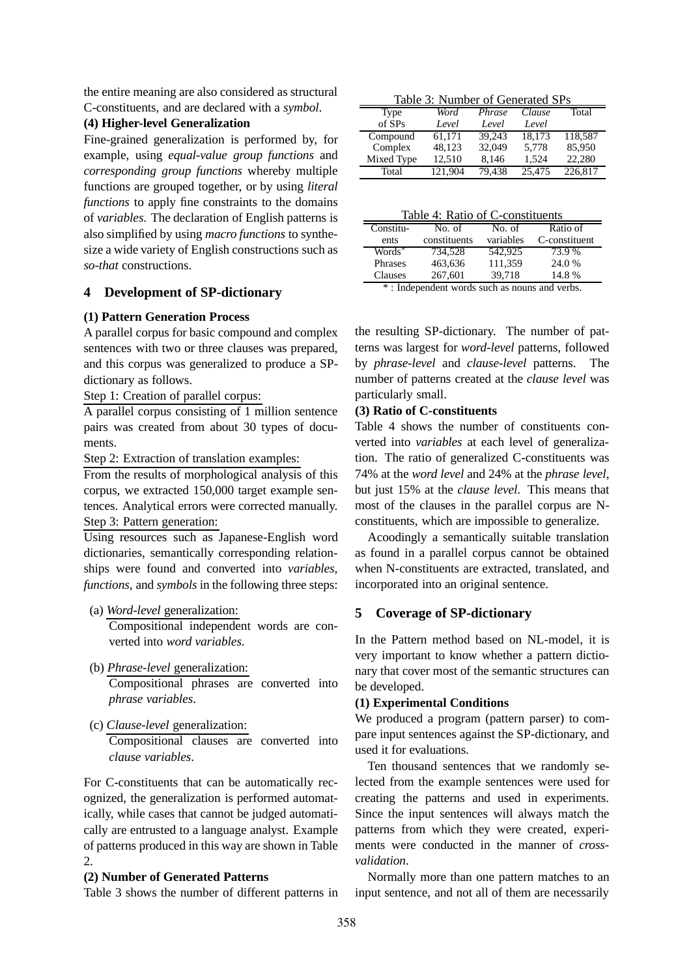the entire meaning are also considered as structural C-constituents, and are declared with a *symbol*.

**(4) Higher-level Generalization**

Fine-grained generalization is performed by, for example, using *equal-value group functions* and *corresponding group functions* whereby multiple functions are grouped together, or by using *literal functions* to apply fine constraints to the domains of *variables*. The declaration of English patterns is also simplified by using *macro functions* to synthesize a wide variety of English constructions such as *so-that* constructions.

# **4 Development of SP-dictionary**

# **(1) Pattern Generation Process**

A parallel corpus for basic compound and complex sentences with two or three clauses was prepared, and this corpus was generalized to produce a SPdictionary as follows.

Step 1: Creation of parallel corpus:

A parallel corpus consisting of 1 million sentence pairs was created from about 30 types of documents.

Step 2: Extraction of translation examples:

From the results of morphological analysis of this corpus, we extracted 150,000 target example sentences. Analytical errors were corrected manually. Step 3: Pattern generation:

Using resources such as Japanese-English word dictionaries, semantically corresponding relationships were found and converted into *variables*, *functions*, and *symbols* in the following three steps:

- (a) *Word-level* generalization: Compositional independent words are converted into *word variables*.
- (b) *Phrase-level* generalization: Compositional phrases are converted into
- (c) *Clause-level* generalization:

*phrase variables*.

Compositional clauses are converted into *clause variables*.

For C-constituents that can be automatically recognized, the generalization is performed automatically, while cases that cannot be judged automatically are entrusted to a language analyst. Example of patterns produced in this way are shown in Table  $\mathcal{D}$ 

# **(2) Number of Generated Patterns**

Table 3 shows the number of different patterns in

Table 3: Number of Generated SPs

| Type       | Word    | Phrase | Clause | Total   |
|------------|---------|--------|--------|---------|
| of SPs     | Level   | Level  | Level  |         |
| Compound   | 61.171  | 39.243 | 18.173 | 118.587 |
| Complex    | 48.123  | 32,049 | 5.778  | 85,950  |
| Mixed Type | 12.510  | 8,146  | 1,524  | 22,280  |
| Total      | 121.904 | 79.438 | 25,475 | 226,817 |

|--|

| Table +. INatio of C-constituciits |              |           |               |  |  |  |  |  |  |
|------------------------------------|--------------|-----------|---------------|--|--|--|--|--|--|
| Constitu-                          | No. of       | No. of    | Ratio of      |  |  |  |  |  |  |
| ents                               | constituents | variables | C-constituent |  |  |  |  |  |  |
| Words <sup>*</sup>                 | 734.528      | 542,925   | 73.9 %        |  |  |  |  |  |  |
| Phrases                            | 463,636      | 111,359   | 24.0 %        |  |  |  |  |  |  |
| Clauses                            | 267,601      | 39.718    | 14.8%         |  |  |  |  |  |  |
| ste.                               | $\sim$       |           |               |  |  |  |  |  |  |

\* : Independent words such as nouns and verbs.

the resulting SP-dictionary. The number of patterns was largest for *word-level* patterns, followed by *phrase-level* and *clause-level* patterns. The number of patterns created at the *clause level* was particularly small.

# **(3) Ratio of C-constituents**

Table 4 shows the number of constituents converted into *variables* at each level of generalization. The ratio of generalized C-constituents was 74% at the *word level* and 24% at the *phrase level*, but just 15% at the *clause level*. This means that most of the clauses in the parallel corpus are Nconstituents, which are impossible to generalize.

Acoodingly a semantically suitable translation as found in a parallel corpus cannot be obtained when N-constituents are extracted, translated, and incorporated into an original sentence.

# **5 Coverage of SP-dictionary**

In the Pattern method based on NL-model, it is very important to know whether a pattern dictionary that cover most of the semantic structures can be developed.

# **(1) Experimental Conditions**

We produced a program (pattern parser) to compare input sentences against the SP-dictionary, and used it for evaluations.

Ten thousand sentences that we randomly selected from the example sentences were used for creating the patterns and used in experiments. Since the input sentences will always match the patterns from which they were created, experiments were conducted in the manner of *crossvalidation*.

Normally more than one pattern matches to an input sentence, and not all of them are necessarily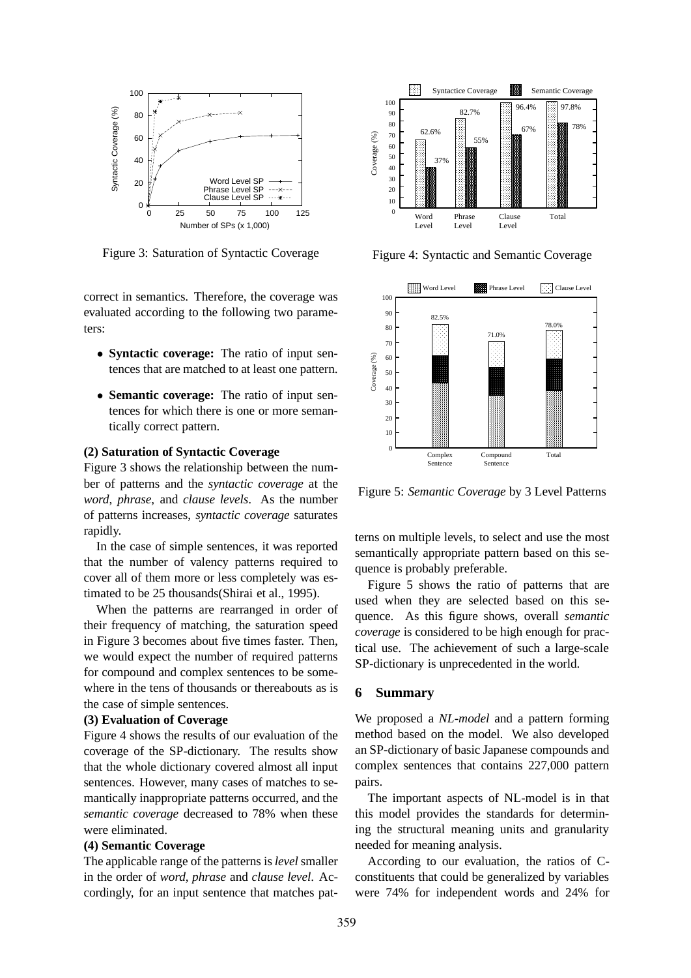

Figure 3: Saturation of Syntactic Coverage

correct in semantics. Therefore, the coverage was evaluated according to the following two parameters:

- **Syntactic coverage:** The ratio of input sentences that are matched to at least one pattern.
- **Semantic coverage:** The ratio of input sentences for which there is one or more semantically correct pattern.

#### **(2) Saturation of Syntactic Coverage**

Figure 3 shows the relationship between the number of patterns and the *syntactic coverage* at the *word*, *phrase*, and *clause levels*. As the number of patterns increases, *syntactic coverage* saturates rapidly.

In the case of simple sentences, it was reported that the number of valency patterns required to cover all of them more or less completely was estimated to be 25 thousands(Shirai et al., 1995).

When the patterns are rearranged in order of their frequency of matching, the saturation speed in Figure 3 becomes about five times faster. Then, we would expect the number of required patterns for compound and complex sentences to be somewhere in the tens of thousands or thereabouts as is the case of simple sentences.

#### **(3) Evaluation of Coverage**

Figure 4 shows the results of our evaluation of the coverage of the SP-dictionary. The results show that the whole dictionary covered almost all input sentences. However, many cases of matches to semantically inappropriate patterns occurred, and the *semantic coverage* decreased to 78% when these were eliminated.

### **(4) Semantic Coverage**

The applicable range of the patterns is *level* smaller in the order of *word*, *phrase* and *clause level*. Accordingly, for an input sentence that matches pat-



Figure 4: Syntactic and Semantic Coverage



Figure 5: *Semantic Coverage* by 3 Level Patterns

terns on multiple levels, to select and use the most semantically appropriate pattern based on this sequence is probably preferable.

Figure 5 shows the ratio of patterns that are used when they are selected based on this sequence. As this figure shows, overall *semantic coverage* is considered to be high enough for practical use. The achievement of such a large-scale SP-dictionary is unprecedented in the world.

### **6 Summary**

We proposed a *NL-model* and a pattern forming method based on the model. We also developed an SP-dictionary of basic Japanese compounds and complex sentences that contains 227,000 pattern pairs.

The important aspects of NL-model is in that this model provides the standards for determining the structural meaning units and granularity needed for meaning analysis.

According to our evaluation, the ratios of Cconstituents that could be generalized by variables were 74% for independent words and 24% for